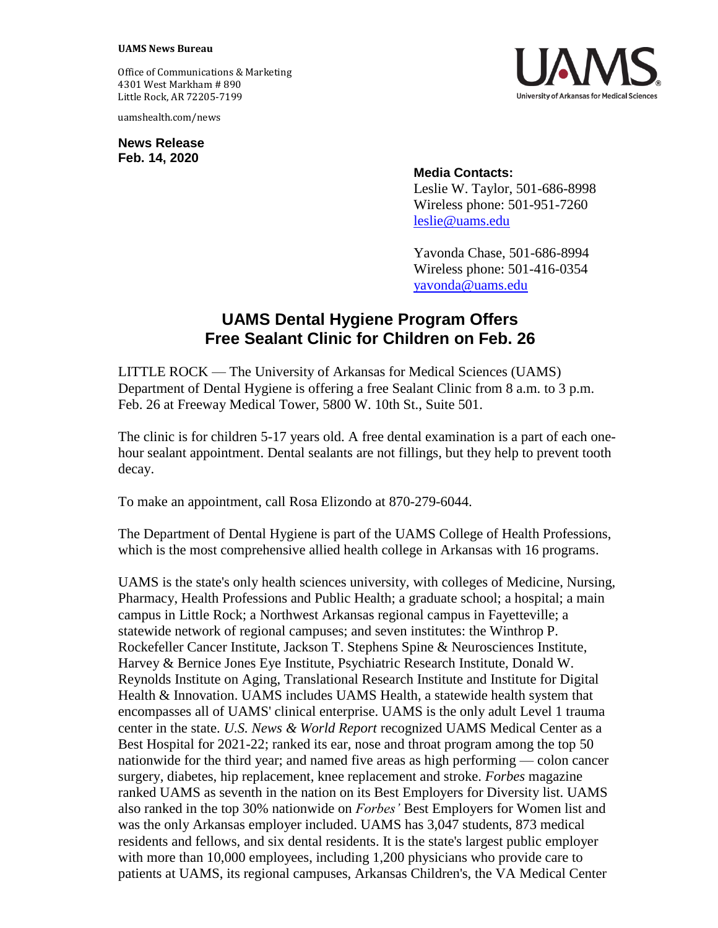## **UAMS News Bureau**

Office of Communications & Marketing 4301 West Markham # 890 Little Rock, AR 72205-7199

uamshealth.com/news

**News Release Feb. 14, 2020**



## **Media Contacts:**

Leslie W. Taylor, 501-686-8998 Wireless phone: 501-951-7260 [leslie@uams.edu](mailto:leslie@uams.edu)

Yavonda Chase, 501-686-8994 Wireless phone: 501-416-0354 [yavonda@uams.edu](mailto:yavonda@uams.edu)

## **UAMS Dental Hygiene Program Offers Free Sealant Clinic for Children on Feb. 26**

LITTLE ROCK — The University of Arkansas for Medical Sciences (UAMS) Department of Dental Hygiene is offering a free Sealant Clinic from 8 a.m. to 3 p.m. Feb. 26 at Freeway Medical Tower, 5800 W. 10th St., Suite 501.

The clinic is for children 5-17 years old. A free dental examination is a part of each onehour sealant appointment. Dental sealants are not fillings, but they help to prevent tooth decay.

To make an appointment, call Rosa Elizondo at 870-279-6044.

The Department of Dental Hygiene is part of the UAMS College of Health Professions, which is the most comprehensive allied health college in Arkansas with 16 programs.

UAMS is the state's only health sciences university, with colleges of Medicine, Nursing, Pharmacy, Health Professions and Public Health; a graduate school; a hospital; a main campus in Little Rock; a Northwest Arkansas regional campus in Fayetteville; a statewide network of regional campuses; and seven institutes: the Winthrop P. Rockefeller Cancer Institute, Jackson T. Stephens Spine & Neurosciences Institute, Harvey & Bernice Jones Eye Institute, Psychiatric Research Institute, Donald W. Reynolds Institute on Aging, Translational Research Institute and Institute for Digital Health & Innovation. UAMS includes UAMS Health, a statewide health system that encompasses all of UAMS' clinical enterprise. UAMS is the only adult Level 1 trauma center in the state. *U.S. News & World Report* recognized UAMS Medical Center as a Best Hospital for 2021-22; ranked its ear, nose and throat program among the top 50 nationwide for the third year; and named five areas as high performing — colon cancer surgery, diabetes, hip replacement, knee replacement and stroke. *Forbes* magazine ranked UAMS as seventh in the nation on its Best Employers for Diversity list. UAMS also ranked in the top 30% nationwide on *Forbes'* Best Employers for Women list and was the only Arkansas employer included. UAMS has 3,047 students, 873 medical residents and fellows, and six dental residents. It is the state's largest public employer with more than 10,000 employees, including 1,200 physicians who provide care to patients at UAMS, its regional campuses, Arkansas Children's, the VA Medical Center